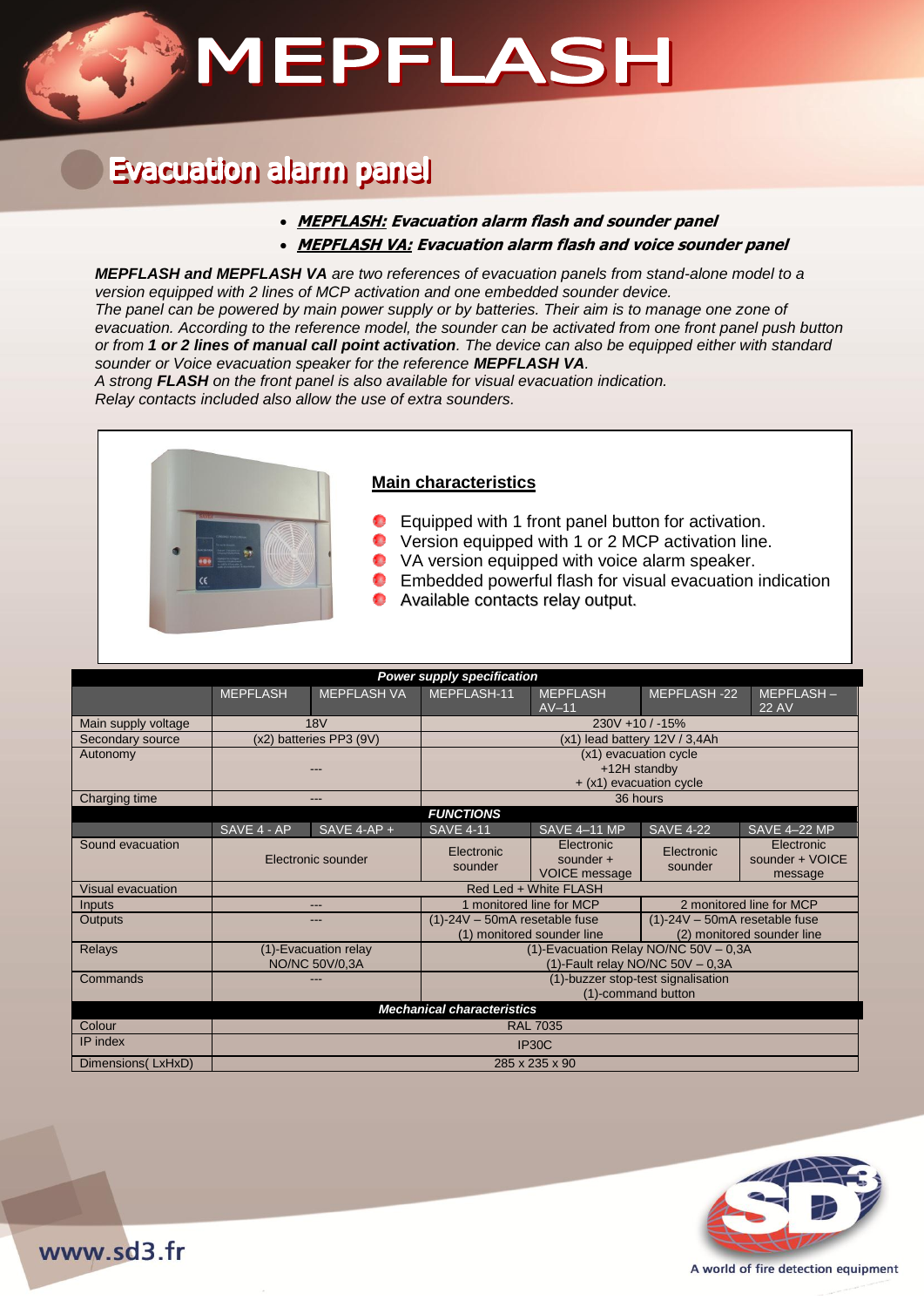# MEPFLASH

## **Evacuation alarm panel**

- **MEPFLASH: Evacuation alarm flash and sounder panel**
- **MEPFLASH VA: Evacuation alarm flash and voice sounder panel**

*MEPFLASH and MEPFLASH VA are two references of evacuation panels from stand-alone model to a version equipped with 2 lines of MCP activation and one embedded sounder device.*

*The panel can be powered by main power supply or by batteries. Their aim is to manage one zone of evacuation. According to the reference model, the sounder can be activated from one front panel push button or from 1 or 2 lines of manual call point activation. The device can also be equipped either with standard sounder or Voice evacuation speaker for the reference MEPFLASH VA.*

*A strong FLASH on the front panel is also available for visual evacuation indication. Relay contacts included also allow the use of extra sounders.*



### **Main characteristics**

- **C** Equipped with 1 front panel button for activation.
- **O** Version equipped with 1 or 2 MCP activation line.
- **O** VA version equipped with voice alarm speaker.
- **C** Embedded powerful flash for visual evacuation indication
- **Available contacts relay output.**

| <b>Power supply specification</b> |                                                                 |                    |                                       |                                                   |                                 |                                          |
|-----------------------------------|-----------------------------------------------------------------|--------------------|---------------------------------------|---------------------------------------------------|---------------------------------|------------------------------------------|
|                                   | <b>MEPFLASH</b>                                                 | <b>MEPFLASH VA</b> | MEPFLASH-11                           | <b>MEPFLASH</b><br>$AV-11$                        | MEPFLASH-22                     | MEPFLASH-<br><b>22 AV</b>                |
| Main supply voltage               | <b>18V</b>                                                      |                    | 230V +10 / -15%                       |                                                   |                                 |                                          |
| Secondary source                  | (x2) batteries PP3 (9V)                                         |                    | $(x1)$ lead battery 12V / 3,4Ah       |                                                   |                                 |                                          |
| Autonomy                          |                                                                 |                    | (x1) evacuation cycle                 |                                                   |                                 |                                          |
|                                   | ---                                                             |                    | +12H standby                          |                                                   |                                 |                                          |
|                                   |                                                                 |                    | $+$ (x1) evacuation cycle             |                                                   |                                 |                                          |
| Charging time                     | ---                                                             |                    | 36 hours                              |                                                   |                                 |                                          |
|                                   | <b>FUNCTIONS</b>                                                |                    |                                       |                                                   |                                 |                                          |
|                                   | SAVE 4 - AP                                                     | SAVE 4-AP $+$      | <b>SAVE 4-11</b>                      | <b>SAVE 4-11 MP</b>                               | <b>SAVE 4-22</b>                | <b>SAVE 4-22 MP</b>                      |
| Sound evacuation                  | Electronic sounder                                              |                    | Electronic<br>sounder                 | Electronic<br>sounder $+$<br><b>VOICE message</b> | Electronic<br>sounder           | Electronic<br>sounder + VOICE<br>message |
| Visual evacuation                 | Red Led + White FLASH                                           |                    |                                       |                                                   |                                 |                                          |
| Inputs                            | ---                                                             |                    | 1 monitored line for MCP              |                                                   | 2 monitored line for MCP        |                                          |
| Outputs                           | ---                                                             |                    | $(1)-24V - 50mA$ resetable fuse       |                                                   | $(1)-24V - 50mA$ resetable fuse |                                          |
|                                   |                                                                 |                    | (1) monitored sounder line            |                                                   | (2) monitored sounder line      |                                          |
| Relays                            | (1)-Evacuation relay                                            |                    | (1)-Evacuation Relay NO/NC 50V - 0,3A |                                                   |                                 |                                          |
|                                   |                                                                 | NO/NC 50V/0,3A     | (1)-Fault relay NO/NC 50V - 0,3A      |                                                   |                                 |                                          |
| Commands                          | (1)-buzzer stop-test signalisation<br>---<br>(1)-command button |                    |                                       |                                                   |                                 |                                          |
|                                   |                                                                 |                    |                                       |                                                   |                                 |                                          |
| <b>Mechanical characteristics</b> |                                                                 |                    |                                       |                                                   |                                 |                                          |
| Colour                            | <b>RAL 7035</b>                                                 |                    |                                       |                                                   |                                 |                                          |
| IP index                          | IP30C                                                           |                    |                                       |                                                   |                                 |                                          |
| Dimensions (LxHxD)                | 285 x 235 x 90                                                  |                    |                                       |                                                   |                                 |                                          |



www.sd3.fr

A world of fire detection equipment